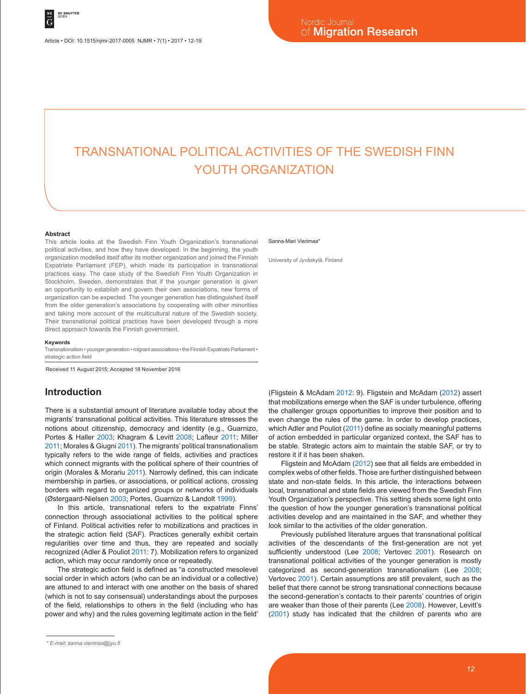Article • DOI: 10.1515/njmr-2017-0005 NJMR • 7(1) • 2017 • 12-19

# TRANSNATIONAL POLITICAL ACTIVITIES OF THE SWEDISH FINN YOUTH ORGANIZATION

#### **Abstract**

This article looks at the Swedish Finn Youth Organization's transnational political activities, and how they have developed. In the beginning, the youth organization modelled itself after its mother organization and joined the Finnish Expatriate Parliament (FEP), which made its participation in transnational practices easy. The case study of the Swedish Finn Youth Organization in Stockholm, Sweden, demonstrates that if the younger generation is given an opportunity to establish and govern their own associations, new forms of organization can be expected. The younger generation has distinguished itself from the older generation's associations by cooperating with other minorities and taking more account of the multicultural nature of the Swedish society. Their transnational political practices have been developed through a more direct approach towards the Finnish government.

#### **Keywords**

Transnationalism • younger generation • migrant associations • the Finnish Expatriate Parliament • strategic action field

Received 11 August 2015; Accepted 18 November 2016

# **Introduction**

There is a substantial amount of literature available today about the migrants' transnational political activities. This literature stresses the notions about citizenship, democracy and identity (e.g., Guarnizo, Portes & Haller 2003; Khagram & Levitt 2008; Lafleur 2011; Miller 2011; Morales & Giugni 2011). The migrants' political transnationalism typically refers to the wide range of fields, activities and practices which connect migrants with the political sphere of their countries of origin (Morales & Morariu 2011). Narrowly defined, this can indicate membership in parties, or associations, or political actions, crossing borders with regard to organized groups or networks of individuals (Østergaard-Nielsen 2003; Portes, Guarnizo & Landolt 1999).

In this article, transnational refers to the expatriate Finns' connection through associational activities to the political sphere of Finland. Political activities refer to mobilizations and practices in the strategic action field (SAF). Practices generally exhibit certain regularities over time and thus, they are repeated and socially recognized (Adler & Pouliot 2011: 7). Mobilization refers to organized action, which may occur randomly once or repeatedly.

The strategic action field is defined as "a constructed mesolevel social order in which actors (who can be an individual or a collective) are attuned to and interact with one another on the basis of shared (which is not to say consensual) understandings about the purposes of the field, relationships to others in the field (including who has power and why) and the rules governing legitimate action in the field'

#### Sanna-Mari Vierimaa\*

University of Jyväskylä, Finland

(Fligstein & McAdam 2012: 9). Fligstein and McAdam (2012) assert that mobilizations emerge when the SAF is under turbulence, offering the challenger groups opportunities to improve their position and to even change the rules of the game. In order to develop practices, which Adler and Pouliot (2011) define as socially meaningful patterns of action embedded in particular organized context, the SAF has to be stable. Strategic actors aim to maintain the stable SAF, or try to restore it if it has been shaken.

Fligstein and McAdam (2012) see that all fields are embedded in complex webs of other fields. Those are further distinguished between state and non-state fields. In this article, the interactions between local, transnational and state fields are viewed from the Swedish Finn Youth Organization's perspective. This setting sheds some light onto the question of how the younger generation's transnational political activities develop and are maintained in the SAF, and whether they look similar to the activities of the older generation.

Previously published literature argues that transnational political activities of the descendants of the first-generation are not yet sufficiently understood (Lee 2008; Vertovec 2001). Research on transnational political activities of the younger generation is mostly categorized as second-generation transnationalism (Lee 2008; Vertovec 2001). Certain assumptions are still prevalent, such as the belief that there cannot be strong transnational connections because the second-generation's contacts to their parents' countries of origin are weaker than those of their parents (Lee 2008). However, Levitt's (2001) study has indicated that the children of parents who are

*<sup>\*</sup> E-mail: sanna.vierimaa@jyu.fi*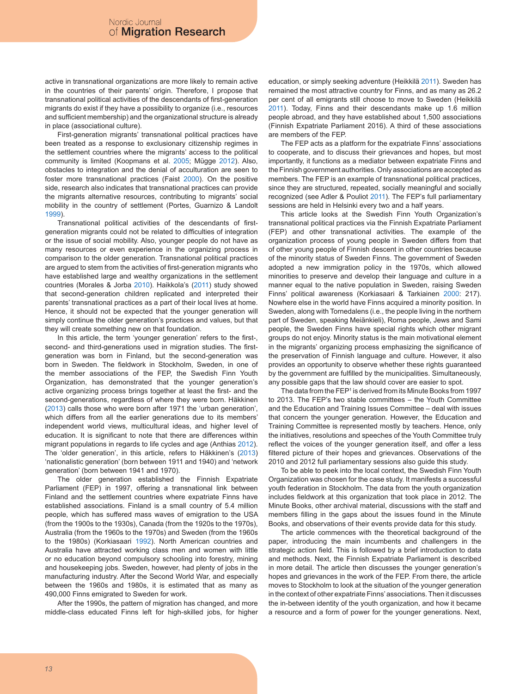active in transnational organizations are more likely to remain active in the countries of their parents' origin. Therefore, I propose that transnational political activities of the descendants of first-generation migrants do exist if they have a possibility to organize (i.e., resources and sufficient membership) and the organizational structure is already in place (associational culture).

First-generation migrants' transnational political practices have been treated as a response to exclusionary citizenship regimes in the settlement countries where the migrants' access to the political community is limited (Koopmans et al. 2005; Mügge 2012). Also, obstacles to integration and the denial of acculturation are seen to foster more transnational practices (Faist 2000). On the positive side, research also indicates that transnational practices can provide the migrants alternative resources, contributing to migrants' social mobility in the country of settlement (Portes, Guarnizo & Landolt 1999).

Transnational political activities of the descendants of firstgeneration migrants could not be related to difficulties of integration or the issue of social mobility. Also, younger people do not have as many resources or even experience in the organizing process in comparison to the older generation. Transnational political practices are argued to stem from the activities of first-generation migrants who have established large and wealthy organizations in the settlement countries (Morales & Jorba 2010). Haikkola's (2011) study showed that second-generation children replicated and interpreted their parents' transnational practices as a part of their local lives at home. Hence, it should not be expected that the younger generation will simply continue the older generation's practices and values, but that they will create something new on that foundation.

In this article, the term 'younger generation' refers to the first-, second- and third-generations used in migration studies. The firstgeneration was born in Finland, but the second-generation was born in Sweden. The fieldwork in Stockholm, Sweden, in one of the member associations of the FEP, the Swedish Finn Youth Organization, has demonstrated that the younger generation's active organizing process brings together at least the first- and the second-generations, regardless of where they were born. Häkkinen (2013) calls those who were born after 1971 the 'urban generation', which differs from all the earlier generations due to its members' independent world views, multicultural ideas, and higher level of education. It is significant to note that there are differences within migrant populations in regards to life cycles and age (Anthias 2012). The 'older generation', in this article, refers to Häkkinen's (2013) 'nationalistic generation' (born between 1911 and 1940) and 'network generation' (born between 1941 and 1970).

The older generation established the Finnish Expatriate Parliament (FEP) in 1997, offering a transnational link between Finland and the settlement countries where expatriate Finns have established associations. Finland is a small country of 5.4 million people, which has suffered mass waves of emigration to the USA (from the 1900s to the 1930s), Canada (from the 1920s to the 1970s), Australia (from the 1960s to the 1970s) and Sweden (from the 1960s to the 1980s) (Korkiasaari 1992). North American countries and Australia have attracted working class men and women with little or no education beyond compulsory schooling into forestry, mining and housekeeping jobs. Sweden, however, had plenty of jobs in the manufacturing industry. After the Second World War, and especially between the 1960s and 1980s, it is estimated that as many as 490,000 Finns emigrated to Sweden for work.

After the 1990s, the pattern of migration has changed, and more middle-class educated Finns left for high-skilled jobs, for higher education, or simply seeking adventure (Heikkilä 2011). Sweden has remained the most attractive country for Finns, and as many as 26.2 per cent of all emigrants still choose to move to Sweden (Heikkilä 2011). Today, Finns and their descendants make up 1.6 million people abroad, and they have established about 1,500 associations (Finnish Expatriate Parliament 2016). A third of these associations are members of the FEP.

The FEP acts as a platform for the expatriate Finns' associations to cooperate, and to discuss their grievances and hopes, but most importantly, it functions as a mediator between expatriate Finns and the Finnish government authorities. Only associations are accepted as members. The FEP is an example of transnational political practices, since they are structured, repeated, socially meaningful and socially recognized (see Adler & Pouliot 2011). The FEP's full parliamentary sessions are held in Helsinki every two and a half years.

This article looks at the Swedish Finn Youth Organization's transnational political practices via the Finnish Expatriate Parliament (FEP) and other transnational activities. The example of the organization process of young people in Sweden differs from that of other young people of Finnish descent in other countries because of the minority status of Sweden Finns. The government of Sweden adopted a new immigration policy in the 1970s, which allowed minorities to preserve and develop their language and culture in a manner equal to the native population in Sweden, raising Sweden Finns' political awareness (Korkiasaari & Tarkiainen 2000: 217). Nowhere else in the world have Finns acquired a minority position. In Sweden, along with Tornedalens (i.e., the people living in the northern part of Sweden, speaking Meiänkieli), Roma people, Jews and Sami people, the Sweden Finns have special rights which other migrant groups do not enjoy. Minority status is the main motivational element in the migrants' organizing process emphasizing the significance of the preservation of Finnish language and culture. However, it also provides an opportunity to observe whether these rights guaranteed by the government are fulfilled by the municipalities. Simultaneously, any possible gaps that the law should cover are easier to spot.

The data from the FEP<sup>1</sup> is derived from its Minute Books from 1997 to 2013. The FEP's two stable committees – the Youth Committee and the Education and Training Issues Committee – deal with issues that concern the younger generation. However, the Education and Training Committee is represented mostly by teachers. Hence, only the initiatives, resolutions and speeches of the Youth Committee truly reflect the voices of the younger generation itself, and offer a less filtered picture of their hopes and grievances. Observations of the 2010 and 2012 full parliamentary sessions also guide this study.

To be able to peek into the local context, the Swedish Finn Youth Organization was chosen for the case study. It manifests a successful youth federation in Stockholm. The data from the youth organization includes fieldwork at this organization that took place in 2012. The Minute Books, other archival material, discussions with the staff and members filling in the gaps about the issues found in the Minute Books, and observations of their events provide data for this study.

The article commences with the theoretical background of the paper, introducing the main incumbents and challengers in the strategic action field. This is followed by a brief introduction to data and methods. Next, the Finnish Expatriate Parliament is described in more detail. The article then discusses the younger generation's hopes and grievances in the work of the FEP. From there, the article moves to Stockholm to look at the situation of the younger generation in the context of other expatriate Finns' associations. Then it discusses the in-between identity of the youth organization, and how it became a resource and a form of power for the younger generations. Next,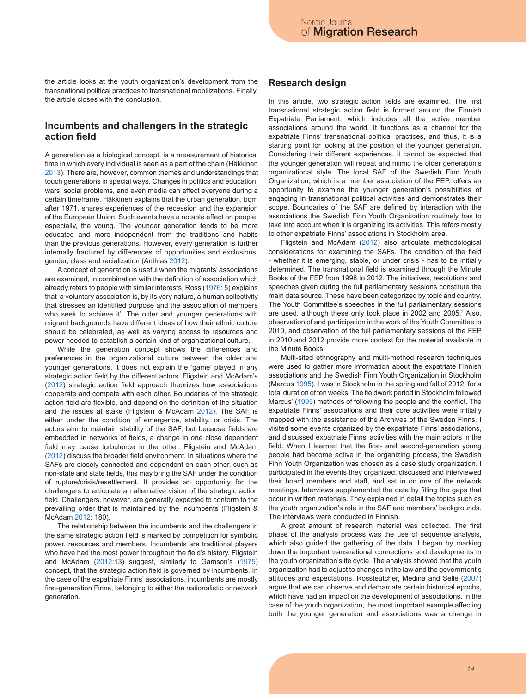the article looks at the youth organization's development from the transnational political practices to transnational mobilizations. Finally, the article closes with the conclusion.

#### **Incumbents and challengers in the strategic action field**

A generation as a biological concept, is a measurement of historical time in which every individual is seen as a part of the chain (Häkkinen 2013). There are, however, common themes and understandings that touch generations in special ways. Changes in politics and education, wars, social problems, and even media can affect everyone during a certain timeframe. Häkkinen explains that the urban generation, born after 1971, shares experiences of the recession and the expansion of the European Union. Such events have a notable effect on people, especially, the young. The younger generation tends to be more educated and more independent from the traditions and habits than the previous generations. However, every generation is further internally fractured by differences of opportunities and exclusions, gender, class and racialization (Anthias 2012).

A concept of generation is useful when the migrants' associations are examined, in combination with the definition of association which already refers to people with similar interests. Ross (1976: 5) explains that 'a voluntary association is, by its very nature, a human collectivity that stresses an identified purpose and the association of members who seek to achieve it'. The older and younger generations with migrant backgrounds have different ideas of how their ethnic culture should be celebrated, as well as varying access to resources and power needed to establish a certain kind of organizational culture.

While the generation concept shows the differences and preferences in the organizational culture between the older and younger generations, it does not explain the 'game' played in any strategic action field by the different actors. Fligstein and McAdam's (2012) strategic action field approach theorizes how associations cooperate and compete with each other. Boundaries of the strategic action field are flexible, and depend on the definition of the situation and the issues at stake (Fligstein & McAdam 2012). The SAF is either under the condition of emergence, stability, or crisis. The actors aim to maintain stability of the SAF, but because fields are embedded in networks of fields, a change in one close dependent field may cause turbulence in the other. Fligstein and McAdam (2012) discuss the broader field environment. In situations where the SAFs are closely connected and dependent on each other, such as non-state and state fields, this may bring the SAF under the condition of rupture/crisis/resettlement. It provides an opportunity for the challengers to articulate an alternative vision of the strategic action field. Challengers, however, are generally expected to conform to the prevailing order that is maintained by the incumbents (Fligstein & McAdam 2012: 180).

The relationship between the incumbents and the challengers in the same strategic action field is marked by competition for symbolic power, resources and members. Incumbents are traditional players who have had the most power throughout the field's history. Fligstein and McAdam (2012:13) suggest, similarly to Gamson's (1975) concept, that the strategic action field is governed by incumbents. In the case of the expatriate Finns' associations, incumbents are mostly first-generation Finns, belonging to either the nationalistic or network generation.

#### **Research design**

In this article, two strategic action fields are examined. The first transnational strategic action field is formed around the Finnish Expatriate Parliament, which includes all the active member associations around the world. It functions as a channel for the expatriate Finns' transnational political practices, and thus, it is a starting point for looking at the position of the younger generation. Considering their different experiences, it cannot be expected that the younger generation will repeat and mimic the older generation's organizational style. The local SAF of the Swedish Finn Youth Organization, which is a member association of the FEP, offers an opportunity to examine the younger generation's possibilities of engaging in transnational political activities and demonstrates their scope. Boundaries of the SAF are defined by interaction with the associations the Swedish Finn Youth Organization routinely has to take into account when it is organizing its activities. This refers mostly to other expatriate Finns' associations in Stockholm area.

Fligstein and McAdam (2012) also articulate methodological considerations for examining the SAFs. The condition of the field - whether it is emerging, stable, or under crisis - has to be initially determined. The transnational field is examined through the Minute Books of the FEP from 1998 to 2012. The initiatives, resolutions and speeches given during the full parliamentary sessions constitute the main data source. These have been categorized by topic and country. The Youth Committee's speeches in the full parliamentary sessions are used, although these only took place in 2002 and 2005.<sup>2</sup> Also, observation of and participation in the work of the Youth Committee in 2010, and observation of the full parliamentary sessions of the FEP in 2010 and 2012 provide more context for the material available in the Minute Books.

Multi-sited ethnography and multi-method research techniques were used to gather more information about the expatriate Finnish associations and the Swedish Finn Youth Organization in Stockholm (Marcus 1995). I was in Stockholm in the spring and fall of 2012, for a total duration of ten weeks. The fieldwork period in Stockholm followed Marcus' (1995) methods of following the people and the conflict. The expatriate Finns' associations and their core activities were initially mapped with the assistance of the Archives of the Sweden Finns. I visited some events organized by the expatriate Finns' associations, and discussed expatriate Finns' activities with the main actors in the field. When I learned that the first- and second-generation young people had become active in the organizing process, the Swedish Finn Youth Organization was chosen as a case study organization. I participated in the events they organized, discussed and interviewed their board members and staff, and sat in on one of the network meetings. Interviews supplemented the data by filling the gaps that occur in written materials. They explained in detail the topics such as the youth organization's role in the SAF and members' backgrounds. The interviews were conducted in Finnish.

A great amount of research material was collected. The first phase of the analysis process was the use of sequence analysis, which also guided the gathering of the data. I began by marking down the important transnational connections and developments in the youth organization'slife cycle. The analysis showed that the youth organization had to adjust to changes in the law and the government's attitudes and expectations. Rossteutcher, Medina and Selle (2007) argue that we can observe and demarcate certain historical epochs, which have had an impact on the development of associations. In the case of the youth organization, the most important example affecting both the younger generation and associations was a change in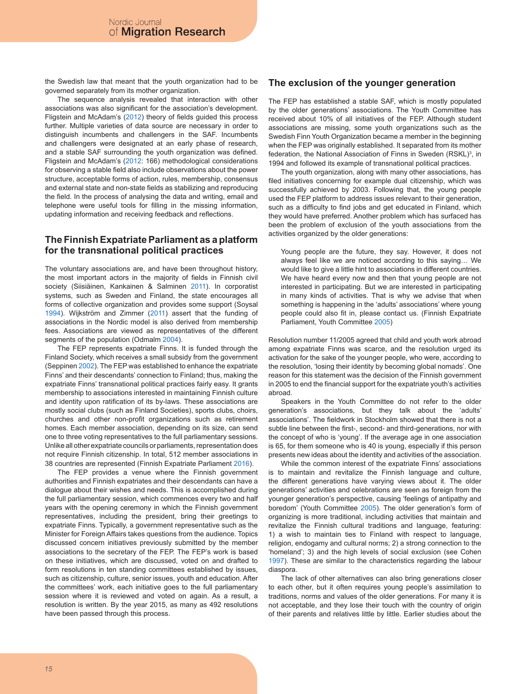the Swedish law that meant that the youth organization had to be governed separately from its mother organization.

The sequence analysis revealed that interaction with other associations was also significant for the association's development. Fligstein and McAdam's (2012) theory of fields guided this process further. Multiple varieties of data source are necessary in order to distinguish incumbents and challengers in the SAF. Incumbents and challengers were designated at an early phase of research, and a stable SAF surrounding the youth organization was defined. Fligstein and McAdam's (2012: 166) methodological considerations for observing a stable field also include observations about the power structure, acceptable forms of action, rules, membership, consensus and external state and non-state fields as stabilizing and reproducing the field. In the process of analysing the data and writing, email and telephone were useful tools for filling in the missing information, updating information and receiving feedback and reflections.

### **The Finnish Expatriate Parliament as a platform for the transnational political practices**

The voluntary associations are, and have been throughout history, the most important actors in the majority of fields in Finnish civil society (Siisiäinen, Kankainen & Salminen 2011). In corporatist systems, such as Sweden and Finland, the state encourages all forms of collective organization and provides some support (Soysal 1994). Wijkström and Zimmer (2011) assert that the funding of associations in the Nordic model is also derived from membership fees. Associations are viewed as representatives of the different segments of the population (Odmalm 2004).

The FEP represents expatriate Finns. It is funded through the Finland Society, which receives a small subsidy from the government (Seppinen 2002). The FEP was established to enhance the expatriate Finns' and their descendants' connection to Finland; thus, making the expatriate Finns' transnational political practices fairly easy. It grants membership to associations interested in maintaining Finnish culture and identity upon ratification of its by-laws. These associations are mostly social clubs (such as Finland Societies), sports clubs, choirs, churches and other non-profit organizations such as retirement homes. Each member association, depending on its size, can send one to three voting representatives to the full parliamentary sessions. Unlike all other expatriate councils or parliaments, representation does not require Finnish citizenship. In total, 512 member associations in 38 countries are represented (Finnish Expatriate Parliament 2016).

The FEP provides a venue where the Finnish government authorities and Finnish expatriates and their descendants can have a dialogue about their wishes and needs. This is accomplished during the full parliamentary session, which commences every two and half years with the opening ceremony in which the Finnish government representatives, including the president, bring their greetings to expatriate Finns. Typically, a government representative such as the Minister for Foreign Affairs takes questions from the audience. Topics discussed concern initiatives previously submitted by the member associations to the secretary of the FEP. The FEP's work is based on these initiatives, which are discussed, voted on and drafted to form resolutions in ten standing committees established by issues, such as citizenship, culture, senior issues, youth and education. After the committees' work, each initiative goes to the full parliamentary session where it is reviewed and voted on again. As a result, a resolution is written. By the year 2015, as many as 492 resolutions have been passed through this process.

### **The exclusion of the younger generation**

The FEP has established a stable SAF, which is mostly populated by the older generations' associations. The Youth Committee has received about 10% of all initiatives of the FEP. Although student associations are missing, some youth organizations such as the Swedish Finn Youth Organization became a member in the beginning when the FEP was originally established. It separated from its mother federation, the National Association of Finns in Sweden (RSKL)<sup>3</sup>, in 1994 and followed its example of transnational political practices.

The youth organization, along with many other associations, has filed initiatives concerning for example dual citizenship, which was successfully achieved by 2003. Following that, the young people used the FEP platform to address issues relevant to their generation, such as a difficulty to find jobs and get educated in Finland, which they would have preferred. Another problem which has surfaced has been the problem of exclusion of the youth associations from the activities organized by the older generations:

Young people are the future, they say. However, it does not always feel like we are noticed according to this saying… We would like to give a little hint to associations in different countries. We have heard every now and then that young people are not interested in participating. But we are interested in participating in many kinds of activities. That is why we advise that when something is happening in the 'adults' associations' where young people could also fit in, please contact us. (Finnish Expatriate Parliament, Youth Committee 2005)

Resolution number 11/2005 agreed that child and youth work abroad among expatriate Finns was scarce, and the resolution urged its activation for the sake of the younger people, who were, according to the resolution, 'losing their identity by becoming global nomads'. One reason for this statement was the decision of the Finnish government in 2005 to end the financial support for the expatriate youth's activities abroad.

Speakers in the Youth Committee do not refer to the older generation's associations, but they talk about the 'adults' associations'. The fieldwork in Stockholm showed that there is not a subtle line between the first-, second- and third-generations, nor with the concept of who is 'young'. If the average age in one association is 65, for them someone who is 40 is young, especially if this person presents new ideas about the identity and activities of the association.

While the common interest of the expatriate Finns' associations is to maintain and revitalize the Finnish language and culture, the different generations have varying views about it. The older generations' activities and celebrations are seen as foreign from the younger generation's perspective, causing 'feelings of antipathy and boredom' (Youth Committee 2005). The older generation's form of organizing is more traditional, including activities that maintain and revitalize the Finnish cultural traditions and language, featuring: 1) a wish to maintain ties to Finland with respect to language, religion, endogamy and cultural norms; 2) a strong connection to the 'homeland'; 3) and the high levels of social exclusion (see Cohen 1997). These are similar to the characteristics regarding the labour diaspora.

The lack of other alternatives can also bring generations closer to each other, but it often requires young people's assimilation to traditions, norms and values of the older generations. For many it is not acceptable, and they lose their touch with the country of origin of their parents and relatives little by little. Earlier studies about the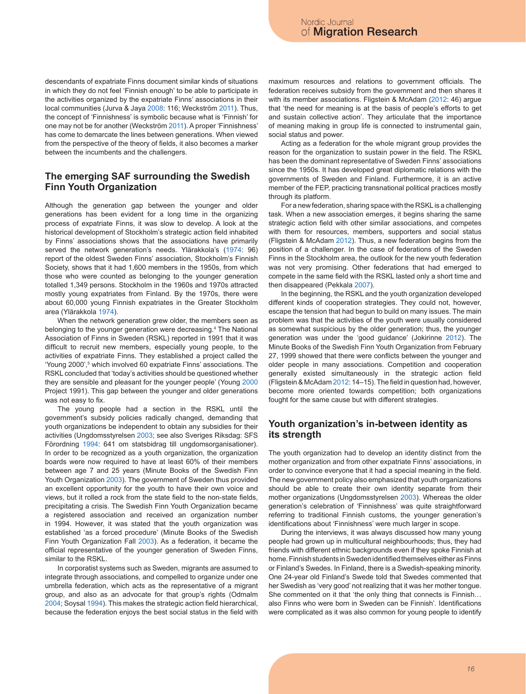descendants of expatriate Finns document similar kinds of situations in which they do not feel 'Finnish enough' to be able to participate in the activities organized by the expatriate Finns' associations in their local communities (Jurva & Jaya 2008: 116; Weckström 2011). Thus, the concept of 'Finnishness' is symbolic because what is 'Finnish' for one may not be for another (Weckström 2011). A proper 'Finnishness' has come to demarcate the lines between generations. When viewed from the perspective of the theory of fields, it also becomes a marker between the incumbents and the challengers.

### **The emerging SAF surrounding the Swedish Finn Youth Organization**

Although the generation gap between the younger and older generations has been evident for a long time in the organizing process of expatriate Finns, it was slow to develop. A look at the historical development of Stockholm's strategic action field inhabited by Finns' associations shows that the associations have primarily served the network generation's needs. Ylärakkola's (1974: 96) report of the oldest Sweden Finns' association, Stockholm's Finnish Society, shows that it had 1,600 members in the 1950s, from which those who were counted as belonging to the younger generation totalled 1,349 persons. Stockholm in the 1960s and 1970s attracted mostly young expatriates from Finland. By the 1970s, there were about 60,000 young Finnish expatriates in the Greater Stockholm area (Ylärakkola 1974).

When the network generation grew older, the members seen as belonging to the younger generation were decreasing.4 The National Association of Finns in Sweden (RSKL) reported in 1991 that it was difficult to recruit new members, especially young people, to the activities of expatriate Finns. They established a project called the 'Young 2000',<sup>5</sup> which involved 60 expatriate Finns' associations. The RSKL concluded that 'today's activities should be questioned whether they are sensible and pleasant for the younger people' (Young 2000 Project 1991). This gap between the younger and older generations was not easy to fix.

The young people had a section in the RSKL until the government's subsidy policies radically changed, demanding that youth organizations be independent to obtain any subsidies for their activities (Ungdomsstyrelsen 2003; see also Sveriges Riksdag: SFS Förordning 1994: 641 om statsbidrag till ungdomsorganisationer). In order to be recognized as a youth organization, the organization boards were now required to have at least 60% of their members between age 7 and 25 years (Minute Books of the Swedish Finn Youth Organization 2003). The government of Sweden thus provided an excellent opportunity for the youth to have their own voice and views, but it rolled a rock from the state field to the non-state fields, precipitating a crisis. The Swedish Finn Youth Organization became a registered association and received an organization number in 1994. However, it was stated that the youth organization was established 'as a forced procedure' (Minute Books of the Swedish Finn Youth Organization Fall 2003). As a federation, it became the official representative of the younger generation of Sweden Finns, similar to the RSKL.

In corporatist systems such as Sweden, migrants are assumed to integrate through associations, and compelled to organize under one umbrella federation, which acts as the representative of a migrant group, and also as an advocate for that group's rights (Odmalm 2004; Soysal 1994). This makes the strategic action field hierarchical, because the federation enjoys the best social status in the field with

maximum resources and relations to government officials. The federation receives subsidy from the government and then shares it with its member associations. Fligstein & McAdam (2012: 46) argue that 'the need for meaning is at the basis of people's efforts to get and sustain collective action'. They articulate that the importance of meaning making in group life is connected to instrumental gain, social status and power.

Acting as a federation for the whole migrant group provides the reason for the organization to sustain power in the field. The RSKL has been the dominant representative of Sweden Finns' associations since the 1950s. It has developed great diplomatic relations with the governments of Sweden and Finland. Furthermore, it is an active member of the FEP, practicing transnational political practices mostly through its platform.

For a new federation, sharing space with the RSKL is a challenging task. When a new association emerges, it begins sharing the same strategic action field with other similar associations, and competes with them for resources, members, supporters and social status (Fligstein & McAdam 2012). Thus, a new federation begins from the position of a challenger. In the case of federations of the Sweden Finns in the Stockholm area, the outlook for the new youth federation was not very promising. Other federations that had emerged to compete in the same field with the RSKL lasted only a short time and then disappeared (Pekkala 2007).

In the beginning, the RSKL and the youth organization developed different kinds of cooperation strategies. They could not, however, escape the tension that had begun to build on many issues. The main problem was that the activities of the youth were usually considered as somewhat suspicious by the older generation; thus, the younger generation was under the 'good guidance' (Jokirinne 2012). The Minute Books of the Swedish Finn Youth Organization from February 27, 1999 showed that there were conflicts between the younger and older people in many associations. Competition and cooperation generally existed simultaneously in the strategic action field (Fligstein & McAdam 2012: 14–15). The field in question had, however, become more oriented towards competition; both organizations fought for the same cause but with different strategies.

#### **Youth organization's in-between identity as its strength**

The youth organization had to develop an identity distinct from the mother organization and from other expatriate Finns' associations, in order to convince everyone that it had a special meaning in the field. The new government policy also emphasized that youth organizations should be able to create their own identity separate from their mother organizations (Ungdomsstyrelsen 2003). Whereas the older generation's celebration of 'Finnishness' was quite straightforward referring to traditional Finnish customs, the younger generation's identifications about 'Finnishness' were much larger in scope.

During the interviews, it was always discussed how many young people had grown up in multicultural neighbourhoods; thus, they had friends with different ethnic backgrounds even if they spoke Finnish at home. Finnish students in Sweden identified themselves either as Finns or Finland's Swedes. In Finland, there is a Swedish-speaking minority. One 24-year old Finland's Swede told that Swedes commented that her Swedish as 'very good' not realizing that it was her mother tongue. She commented on it that 'the only thing that connects is Finnish… also Finns who were born in Sweden can be Finnish'. Identifications were complicated as it was also common for young people to identify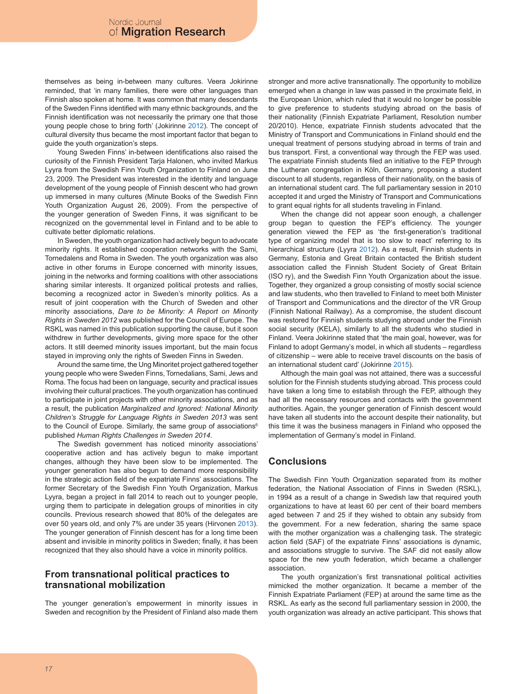themselves as being in-between many cultures. Veera Jokirinne reminded, that 'in many families, there were other languages than Finnish also spoken at home. It was common that many descendants of the Sweden Finns identified with many ethnic backgrounds, and the Finnish identification was not necessarily the primary one that those young people chose to bring forth' (Jokirinne 2012). The concept of cultural diversity thus became the most important factor that began to guide the youth organization's steps.

Young Sweden Finns' in-between identifications also raised the curiosity of the Finnish President Tarja Halonen, who invited Markus Lyyra from the Swedish Finn Youth Organization to Finland on June 23, 2009. The President was interested in the identity and language development of the young people of Finnish descent who had grown up immersed in many cultures (Minute Books of the Swedish Finn Youth Organization August 26, 2009). From the perspective of the younger generation of Sweden Finns, it was significant to be recognized on the governmental level in Finland and to be able to cultivate better diplomatic relations.

In Sweden, the youth organization had actively begun to advocate minority rights. It established cooperation networks with the Sami, Tornedalens and Roma in Sweden. The youth organization was also active in other forums in Europe concerned with minority issues, joining in the networks and forming coalitions with other associations sharing similar interests. It organized political protests and rallies, becoming a recognized actor in Sweden's minority politics. As a result of joint cooperation with the Church of Sweden and other minority associations, *Dare to be Minority: A Report on Minority Rights in Sweden 2012* was published for the Council of Europe. The RSKL was named in this publication supporting the cause, but it soon withdrew in further developments, giving more space for the other actors. It still deemed minority issues important, but the main focus stayed in improving only the rights of Sweden Finns in Sweden.

Around the same time, the Ung Minoritet project gathered together young people who were Sweden Finns, Tornedalians, Sami, Jews and Roma. The focus had been on language, security and practical issues involving their cultural practices. The youth organization has continued to participate in joint projects with other minority associations, and as a result, the publication *Marginalized and Ignored: National Minority Children's Struggle for Language Rights in Sweden 2013* was sent to the Council of Europe. Similarly, the same group of associations<sup>6</sup> published *Human Rights Challenges in Sweden 2014*.

The Swedish government has noticed minority associations' cooperative action and has actively begun to make important changes, although they have been slow to be implemented. The younger generation has also begun to demand more responsibility in the strategic action field of the expatriate Finns' associations. The former Secretary of the Swedish Finn Youth Organization, Markus Lyyra, began a project in fall 2014 to reach out to younger people, urging them to participate in delegation groups of minorities in city councils. Previous research showed that 80% of the delegates are over 50 years old, and only 7% are under 35 years (Hirvonen 2013). The younger generation of Finnish descent has for a long time been absent and invisible in minority politics in Sweden; finally, it has been recognized that they also should have a voice in minority politics.

# **From transnational political practices to transnational mobilization**

The younger generation's empowerment in minority issues in Sweden and recognition by the President of Finland also made them stronger and more active transnationally. The opportunity to mobilize emerged when a change in law was passed in the proximate field, in the European Union, which ruled that it would no longer be possible to give preference to students studying abroad on the basis of their nationality (Finnish Expatriate Parliament, Resolution number 20/2010). Hence, expatriate Finnish students advocated that the Ministry of Transport and Communications in Finland should end the unequal treatment of persons studying abroad in terms of train and bus transport. First, a conventional way through the FEP was used. The expatriate Finnish students filed an initiative to the FEP through the Lutheran congregation in Köln, Germany, proposing a student discount to all students, regardless of their nationality, on the basis of an international student card. The full parliamentary session in 2010 accepted it and urged the Ministry of Transport and Communications to grant equal rights for all students traveling in Finland.

When the change did not appear soon enough, a challenger group began to question the FEP's efficiency. The younger generation viewed the FEP as 'the first-generation's traditional type of organizing model that is too slow to react' referring to its hierarchical structure (Lyyra 2012). As a result, Finnish students in Germany, Estonia and Great Britain contacted the British student association called the Finnish Student Society of Great Britain (ISO ry), and the Swedish Finn Youth Organization about the issue. Together, they organized a group consisting of mostly social science and law students, who then travelled to Finland to meet both Minister of Transport and Communications and the director of the VR Group (Finnish National Railway). As a compromise, the student discount was restored for Finnish students studying abroad under the Finnish social security (KELA), similarly to all the students who studied in Finland. Veera Jokirinne stated that 'the main goal, however, was for Finland to adopt Germany's model, in which all students – regardless of citizenship – were able to receive travel discounts on the basis of an international student card' (Jokirinne 2015).

Although the main goal was not attained, there was a successful solution for the Finnish students studying abroad. This process could have taken a long time to establish through the FEP, although they had all the necessary resources and contacts with the government authorities. Again, the younger generation of Finnish descent would have taken all students into the account despite their nationality, but this time it was the business managers in Finland who opposed the implementation of Germany's model in Finland.

# **Conclusions**

The Swedish Finn Youth Organization separated from its mother federation, the National Association of Finns in Sweden (RSKL), in 1994 as a result of a change in Swedish law that required youth organizations to have at least 60 per cent of their board members aged between 7 and 25 if they wished to obtain any subsidy from the government. For a new federation, sharing the same space with the mother organization was a challenging task. The strategic action field (SAF) of the expatriate Finns' associations is dynamic, and associations struggle to survive. The SAF did not easily allow space for the new youth federation, which became a challenger association.

The youth organization's first transnational political activities mimicked the mother organization. It became a member of the Finnish Expatriate Parliament (FEP) at around the same time as the RSKL. As early as the second full parliamentary session in 2000, the youth organization was already an active participant. This shows that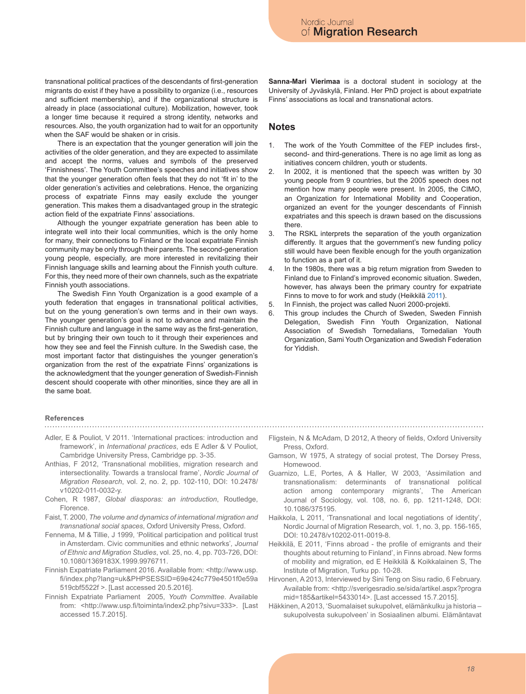transnational political practices of the descendants of first-generation migrants do exist if they have a possibility to organize (i.e., resources and sufficient membership), and if the organizational structure is already in place (associational culture). Mobilization, however, took a longer time because it required a strong identity, networks and resources. Also, the youth organization had to wait for an opportunity when the SAF would be shaken or in crisis.

There is an expectation that the younger generation will join the activities of the older generation, and they are expected to assimilate and accept the norms, values and symbols of the preserved 'Finnishness'. The Youth Committee's speeches and initiatives show that the younger generation often feels that they do not 'fit in' to the older generation's activities and celebrations. Hence, the organizing process of expatriate Finns may easily exclude the younger generation. This makes them a disadvantaged group in the strategic action field of the expatriate Finns' associations.

Although the younger expatriate generation has been able to integrate well into their local communities, which is the only home for many, their connections to Finland or the local expatriate Finnish community may be only through their parents. The second-generation young people, especially, are more interested in revitalizing their Finnish language skills and learning about the Finnish youth culture. For this, they need more of their own channels, such as the expatriate Finnish youth associations.

The Swedish Finn Youth Organization is a good example of a youth federation that engages in transnational political activities, but on the young generation's own terms and in their own ways. The younger generation's goal is not to advance and maintain the Finnish culture and language in the same way as the first-generation, but by bringing their own touch to it through their experiences and how they see and feel the Finnish culture. In the Swedish case, the most important factor that distinguishes the younger generation's organization from the rest of the expatriate Finns' organizations is the acknowledgment that the younger generation of Swedish-Finnish descent should cooperate with other minorities, since they are all in the same boat.

#### **References**

- Adler, E & Pouliot, V 2011. 'International practices: introduction and framework', in *International practices*, eds E Adler & V Pouliot, Cambridge University Press, Cambridge pp. 3-35.
- Anthias, F 2012, 'Transnational mobilities, migration research and intersectionality. Towards a translocal frame', *Nordic Journal of Migration Research*, vol. 2, no. 2, pp. 102-110, DOI: 10.2478/ v10202-011-0032-y.
- Cohen, R 1987, *Global diasporas: an introduction*, Routledge, Florence.
- Faist, T. 2000, *The volume and dynamics of international migration and transnational social spaces*, Oxford University Press, Oxford.
- Fennema, M & Tillie, J 1999, 'Political participation and political trust in Amsterdam. Civic communities and ethnic networks'*, Journal of Ethnic and Migration Studies*, vol. 25, no. 4, pp. 703-726, DOI: 10.1080/1369183X.1999.9976711.
- Finnish Expatriate Parliament 2016. Available from: <http://www.usp. fi/index.php?lang=uk&PHPSESSID=69e424c779e4501f0e59a 519cbf5522f >. [Last accessed 20.5.2016].
- Finnish Expatriate Parliament 2005, *Youth Committee*. Available from: <http://www.usp.fi/toiminta/index2.php?sivu=333>. [Last accessed 15.7.2015].

**Sanna-Mari Vierimaa** is a doctoral student in sociology at the University of Jyväskylä, Finland. Her PhD project is about expatriate Finns' associations as local and transnational actors.

#### **Notes**

- 1. The work of the Youth Committee of the FEP includes first-, second- and third-generations. There is no age limit as long as initiatives concern children, youth or students.
- 2. In 2002, it is mentioned that the speech was written by 30 young people from 9 countries, but the 2005 speech does not mention how many people were present. In 2005, the CIMO, an Organization for International Mobility and Cooperation, organized an event for the younger descendants of Finnish expatriates and this speech is drawn based on the discussions there.
- 3. The RSKL interprets the separation of the youth organization differently. It argues that the government's new funding policy still would have been flexible enough for the youth organization to function as a part of it.
- 4. In the 1980s, there was a big return migration from Sweden to Finland due to Finland's improved economic situation. Sweden, however, has always been the primary country for expatriate Finns to move to for work and study (Heikkilä 2011).
- 5. In Finnish, the project was called Nuori 2000-projekti.
- 6. This group includes the Church of Sweden, Sweden Finnish Delegation, Swedish Finn Youth Organization, National Association of Swedish Tornedalians, Tornedalian Youth Organization, Sami Youth Organization and Swedish Federation for Yiddish.

- Fligstein, N & McAdam, D 2012, A theory of fields, Oxford University Press, Oxford.
- Gamson, W 1975, A strategy of social protest, The Dorsey Press, Homewood.
- Guarnizo, L.E, Portes, A & Haller, W 2003, 'Assimilation and transnationalism: determinants of transnational political action among contemporary migrants', The American Journal of Sociology, vol. 108, no. 6, pp. 1211-1248, DOI: 10.1086/375195.
- Haikkola, L 2011, 'Transnational and local negotiations of identity', Nordic Journal of Migration Research, vol. 1, no. 3, pp. 156-165, DOI: 10.2478/v10202-011-0019-8.
- Heikkilä, E 2011, 'Finns abroad the profile of emigrants and their thoughts about returning to Finland', in Finns abroad. New forms of mobility and migration, ed E Heikkilä & Koikkalainen S, The Institute of Migration, Turku pp. 10-28.
- Hirvonen, A 2013, Interviewed by Sini Teng on Sisu radio, 6 February. Available from: <http://sverigesradio.se/sida/artikel.aspx?progra mid=185&artikel=5433014>. [Last accessed 15.7.2015].
- Häkkinen, A 2013, 'Suomalaiset sukupolvet, elämänkulku ja historia sukupolvesta sukupolveen' in Sosiaalinen albumi. Elämäntavat